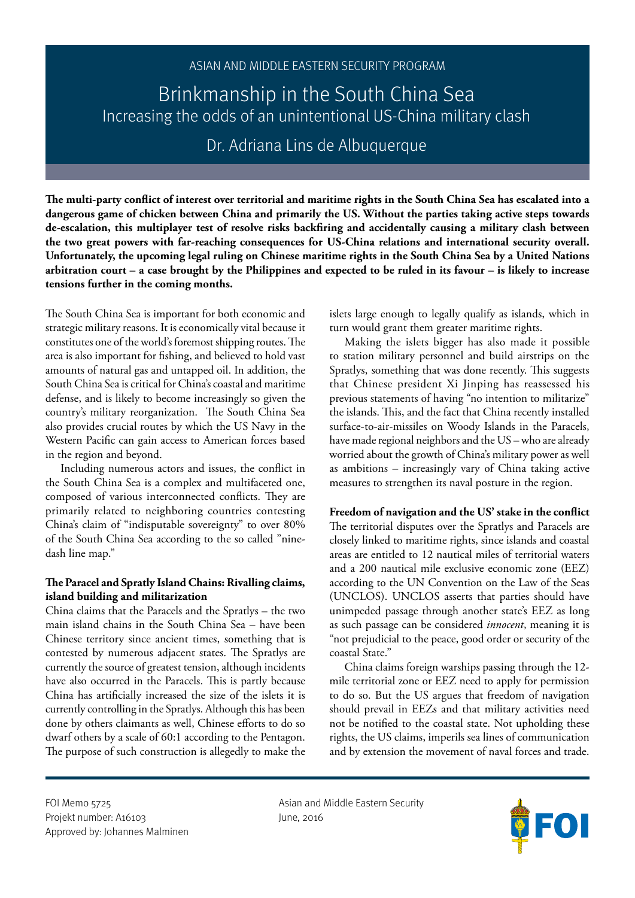# ASIAN AND MIDDLE EASTERN SECURITY PROGRAM

Brinkmanship in the South China Sea Increasing the odds of an unintentional US-China military clash

Dr. Adriana Lins de Albuquerque

**The multi-party conflict of interest over territorial and maritime rights in the South China Sea has escalated into a dangerous game of chicken between China and primarily the US. Without the parties taking active steps towards de-escalation, this multiplayer test of resolve risks backfiring and accidentally causing a military clash between the two great powers with far-reaching consequences for US-China relations and international security overall. Unfortunately, the upcoming legal ruling on Chinese maritime rights in the South China Sea by a United Nations arbitration court – a case brought by the Philippines and expected to be ruled in its favour – is likely to increase tensions further in the coming months.** 

The South China Sea is important for both economic and strategic military reasons. It is economically vital because it constitutes one of the world's foremost shipping routes. The area is also important for fishing, and believed to hold vast amounts of natural gas and untapped oil. In addition, the South China Sea is critical for China's coastal and maritime defense, and is likely to become increasingly so given the country's military reorganization. The South China Sea also provides crucial routes by which the US Navy in the Western Pacific can gain access to American forces based in the region and beyond.

Including numerous actors and issues, the conflict in the South China Sea is a complex and multifaceted one, composed of various interconnected conflicts. They are primarily related to neighboring countries contesting China's claim of "indisputable sovereignty" to over 80% of the South China Sea according to the so called "ninedash line map."

# **The Paracel and Spratly Island Chains: Rivalling claims, island building and militarization**

China claims that the Paracels and the Spratlys – the two main island chains in the South China Sea – have been Chinese territory since ancient times, something that is contested by numerous adjacent states. The Spratlys are currently the source of greatest tension, although incidents have also occurred in the Paracels. This is partly because China has artificially increased the size of the islets it is currently controlling in the Spratlys. Although this has been done by others claimants as well, Chinese efforts to do so dwarf others by a scale of 60:1 according to the Pentagon. The purpose of such construction is allegedly to make the islets large enough to legally qualify as islands, which in turn would grant them greater maritime rights.

Making the islets bigger has also made it possible to station military personnel and build airstrips on the Spratlys, something that was done recently. This suggests that Chinese president Xi Jinping has reassessed his previous statements of having "no intention to militarize" the islands. This, and the fact that China recently installed surface-to-air-missiles on Woody Islands in the Paracels, have made regional neighbors and the US – who are already worried about the growth of China's military power as well as ambitions – increasingly vary of China taking active measures to strengthen its naval posture in the region.

## **Freedom of navigation and the US' stake in the conflict**

The territorial disputes over the Spratlys and Paracels are closely linked to maritime rights, since islands and coastal areas are entitled to 12 nautical miles of territorial waters and a 200 nautical mile exclusive economic zone (EEZ) according to the UN Convention on the Law of the Seas (UNCLOS). UNCLOS asserts that parties should have unimpeded passage through another state's EEZ as long as such passage can be considered *innocent*, meaning it is "not prejudicial to the peace, good order or security of the coastal State."

China claims foreign warships passing through the 12 mile territorial zone or EEZ need to apply for permission to do so. But the US argues that freedom of navigation should prevail in EEZs and that military activities need not be notified to the coastal state. Not upholding these rights, the US claims, imperils sea lines of communication and by extension the movement of naval forces and trade.

Projekt number: A16103 June, 2016 Approved by: Johannes Malminen

FOI Memo 5725 **Asian and Middle Eastern Security** 

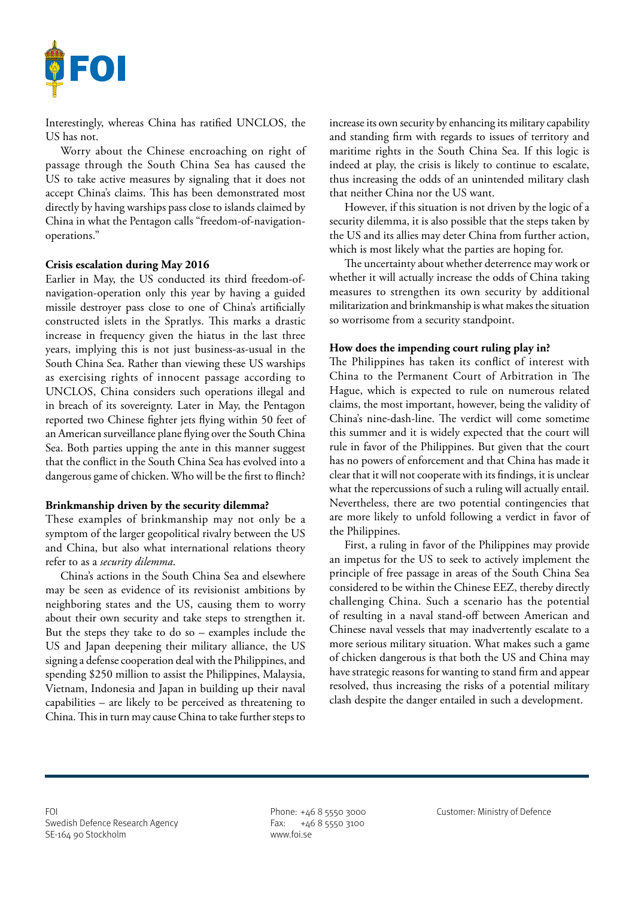

Interestingly, whereas China has ratified UNCLOS, the US has not.

Worry about the Chinese encroaching on right of passage through the South China Sea has caused the US to take active measures by signaling that it does not accept China's claims. This has been demonstrated most directly by having warships pass close to islands claimed by China in what the Pentagon calls "freedom-of-navigationoperations."

### **Crisis escalation during May 2016**

Earlier in May, the US conducted its third freedom-ofnavigation-operation only this year by having a guided missile destroyer pass close to one of China's artificially constructed islets in the Spratlys. This marks a drastic increase in frequency given the hiatus in the last three years, implying this is not just business-as-usual in the South China Sea. Rather than viewing these US warships as exercising rights of innocent passage according to UNCLOS, China considers such operations illegal and in breach of its sovereignty. Later in May, the Pentagon reported two Chinese fighter jets flying within 50 feet of an American surveillance plane flying over the South China Sea. Both parties upping the ante in this manner suggest that the conflict in the South China Sea has evolved into a dangerous game of chicken. Who will be the first to flinch?

#### **Brinkmanship driven by the security dilemma?**

These examples of brinkmanship may not only be a symptom of the larger geopolitical rivalry between the US and China, but also what international relations theory refer to as a *security dilemma*.

China's actions in the South China Sea and elsewhere may be seen as evidence of its revisionist ambitions by neighboring states and the US, causing them to worry about their own security and take steps to strengthen it. But the steps they take to do so – examples include the US and Japan deepening their military alliance, the US signing a defense cooperation deal with the Philippines, and spending \$250 million to assist the Philippines, Malaysia, Vietnam, Indonesia and Japan in building up their naval capabilities – are likely to be perceived as threatening to China. This in turn may cause China to take further steps to

increase its own security by enhancing its military capability and standing firm with regards to issues of territory and maritime rights in the South China Sea. If this logic is indeed at play, the crisis is likely to continue to escalate, thus increasing the odds of an unintended military clash that neither China nor the US want.

However, if this situation is not driven by the logic of a security dilemma, it is also possible that the steps taken by the US and its allies may deter China from further action, which is most likely what the parties are hoping for.

The uncertainty about whether deterrence may work or whether it will actually increase the odds of China taking measures to strengthen its own security by additional militarization and brinkmanship is what makes the situation so worrisome from a security standpoint.

#### **How does the impending court ruling play in?**

The Philippines has taken its conflict of interest with China to the Permanent Court of Arbitration in The Hague, which is expected to rule on numerous related claims, the most important, however, being the validity of China's nine-dash-line. The verdict will come sometime this summer and it is widely expected that the court will rule in favor of the Philippines. But given that the court has no powers of enforcement and that China has made it clear that it will not cooperate with its findings, it is unclear what the repercussions of such a ruling will actually entail. Nevertheless, there are two potential contingencies that are more likely to unfold following a verdict in favor of the Philippines.

First, a ruling in favor of the Philippines may provide an impetus for the US to seek to actively implement the principle of free passage in areas of the South China Sea considered to be within the Chinese EEZ, thereby directly challenging China. Such a scenario has the potential of resulting in a naval stand-off between American and Chinese naval vessels that may inadvertently escalate to a more serious military situation. What makes such a game of chicken dangerous is that both the US and China may have strategic reasons for wanting to stand firm and appear resolved, thus increasing the risks of a potential military clash despite the danger entailed in such a development.